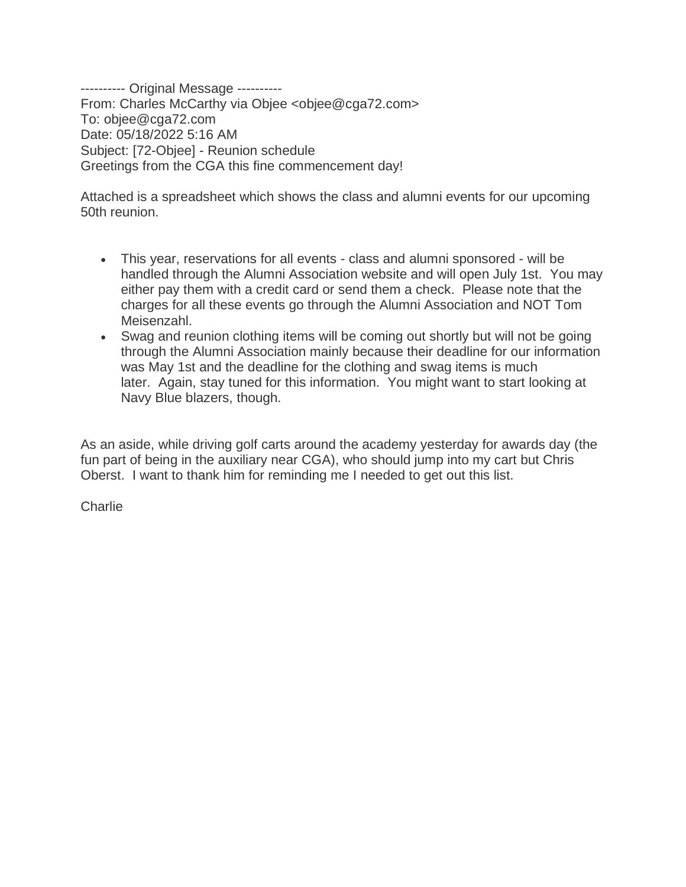---------- Original Message ---------- From: Charles McCarthy via Objee <objee@cga72.com> To: objee@cga72.com Date: 05/18/2022 5:16 AM Subject: [72-Objee] - Reunion schedule Greetings from the CGA this fine commencement day!

Attached is a spreadsheet which shows the class and alumni events for our upcoming 50th reunion.

- This year, reservations for all events class and alumni sponsored will be handled through the Alumni Association website and will open July 1st. You may either pay them with a credit card or send them a check. Please note that the charges for all these events go through the Alumni Association and NOT Tom Meisenzahl.
- Swag and reunion clothing items will be coming out shortly but will not be going through the Alumni Association mainly because their deadline for our information was May 1st and the deadline for the clothing and swag items is much later. Again, stay tuned for this information. You might want to start looking at Navy Blue blazers, though.

As an aside, while driving golf carts around the academy yesterday for awards day (the fun part of being in the auxiliary near CGA), who should jump into my cart but Chris Oberst. I want to thank him for reminding me I needed to get out this list.

Charlie